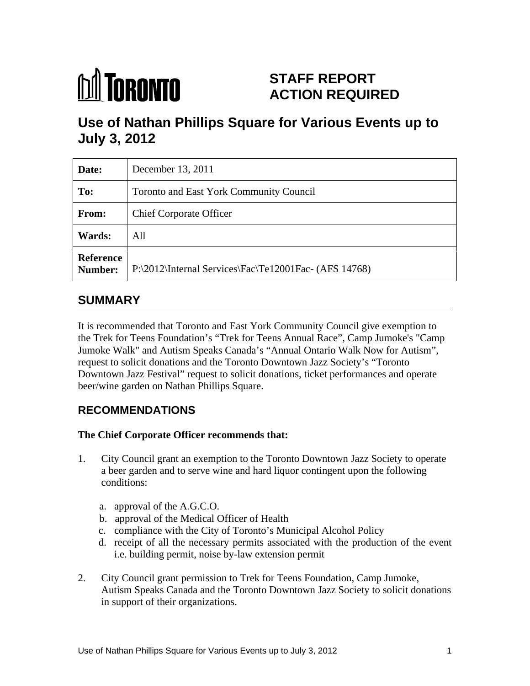# **M** TORONTO

# **STAFF REPORT ACTION REQUIRED**

# **Use of Nathan Phillips Square for Various Events up to July 3, 2012**

| Date:                       | December 13, 2011                                        |
|-----------------------------|----------------------------------------------------------|
| To:                         | Toronto and East York Community Council                  |
| From:                       | <b>Chief Corporate Officer</b>                           |
| <b>Wards:</b>               | All                                                      |
| <b>Reference</b><br>Number: | $P:\2012\text{Internal Services}$ Te12001Fac-(AFS 14768) |

## **SUMMARY**

It is recommended that Toronto and East York Community Council give exemption to the Trek for Teens Foundation's "Trek for Teens Annual Race", Camp Jumoke's "Camp Jumoke Walk" and Autism Speaks Canada's "Annual Ontario Walk Now for Autism", request to solicit donations and the Toronto Downtown Jazz Society's "Toronto Downtown Jazz Festival" request to solicit donations, ticket performances and operate beer/wine garden on Nathan Phillips Square.

## **RECOMMENDATIONS**

#### **The Chief Corporate Officer recommends that:**

- 1. City Council grant an exemption to the Toronto Downtown Jazz Society to operate a beer garden and to serve wine and hard liquor contingent upon the following conditions:
	- a. approval of the A.G.C.O.
	- b. approval of the Medical Officer of Health
	- c. compliance with the City of Toronto's Municipal Alcohol Policy
	- d. receipt of all the necessary permits associated with the production of the event i.e. building permit, noise by-law extension permit
- 2. City Council grant permission to Trek for Teens Foundation, Camp Jumoke, Autism Speaks Canada and the Toronto Downtown Jazz Society to solicit donations in support of their organizations.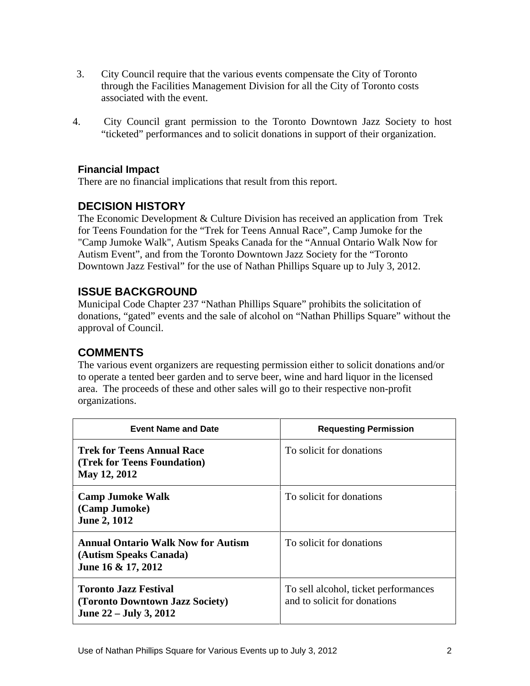- 3. City Council require that the various events compensate the City of Toronto through the Facilities Management Division for all the City of Toronto costs associated with the event.
- 4. City Council grant permission to the Toronto Downtown Jazz Society to host "ticketed" performances and to solicit donations in support of their organization.

#### **Financial Impact**

There are no financial implications that result from this report.

#### **DECISION HISTORY**

The Economic Development & Culture Division has received an application from Trek for Teens Foundation for the "Trek for Teens Annual Race", Camp Jumoke for the "Camp Jumoke Walk", Autism Speaks Canada for the "Annual Ontario Walk Now for Autism Event", and from the Toronto Downtown Jazz Society for the "Toronto Downtown Jazz Festival" for the use of Nathan Phillips Square up to July 3, 2012.

#### **ISSUE BACKGROUND**

Municipal Code Chapter 237 "Nathan Phillips Square" prohibits the solicitation of donations, "gated" events and the sale of alcohol on "Nathan Phillips Square" without the approval of Council.

#### **COMMENTS**

The various event organizers are requesting permission either to solicit donations and/or to operate a tented beer garden and to serve beer, wine and hard liquor in the licensed area. The proceeds of these and other sales will go to their respective non-profit organizations.

| <b>Event Name and Date</b>                                                                | <b>Requesting Permission</b>                                         |
|-------------------------------------------------------------------------------------------|----------------------------------------------------------------------|
| Trek for Teens Annual Race<br><b>Trek for Teens Foundation</b> )<br>May 12, 2012          | To solicit for donations                                             |
| Camp Jumoke Walk<br>$\vert$ (Camp Jumoke)<br><b>June 2, 1012</b>                          | To solicit for donations                                             |
| Annual Ontario Walk Now for Autism<br>(Autism Speaks Canada)<br>June 16 & 17, 2012        | To solicit for donations                                             |
| Toronto Jazz Festival<br>(Toronto Downtown Jazz Society)<br><b>June 22 – July 3, 2012</b> | To sell alcohol, ticket performances<br>and to solicit for donations |